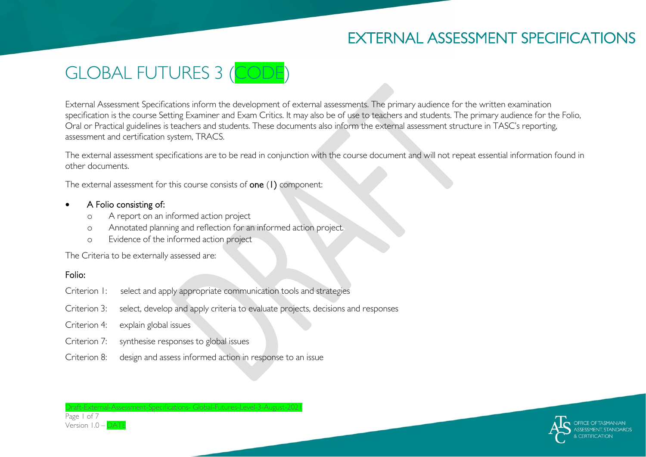# EXTERNAL ASSESSMENT SPECIFICATIONS



External Assessment Specifications inform the development of external assessments. The primary audience for the written examination specification is the course Setting Examiner and Exam Critics. It may also be of use to teachers and students. The primary audience for the Folio, Oral or Practical guidelines is teachers and students. These documents also inform the external assessment structure in TASC's reporting, assessment and certification system, TRACS.

The external assessment specifications are to be read in conjunction with the course document and will not repeat essential information found in other documents.

The external assessment for this course consists of **one** (1) component:

#### • A Folio consisting of:

- o A report on an informed action project
- o Annotated planning and reflection for an informed action project.
- o Evidence of the informed action project

The Criteria to be externally assessed are:

### Folio:

Page 1 of 7 Version  $1.0 -$ 

- Criterion 1: select and apply appropriate communication tools and strategies
- Criterion 3: select, develop and apply criteria to evaluate projects, decisions and responses
- Criterion 4: explain global issues
- Criterion 7: synthesise responses to global issues
- Criterion 8: design and assess informed action in response to an issue

Draft-External-Assessment-Specifications- Global-Futures-Level-3-August-2021

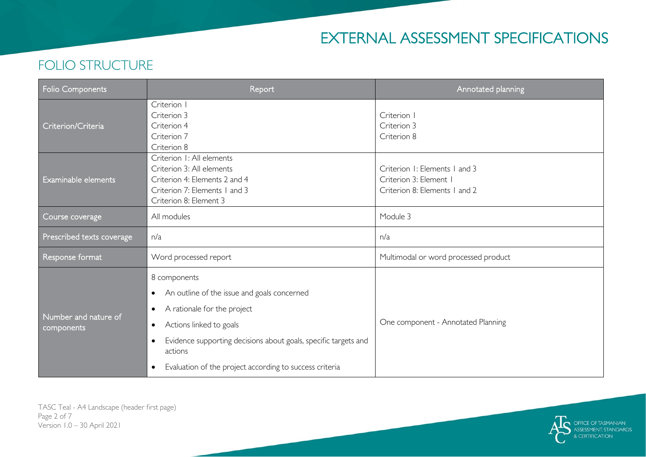# EXTERNAL ASSESSMENT SPECIFICATIONS

#### Folio Components **Report** Report Annotated planning Report Annotated planning Criterion/Criteria Criterion I Criterion 3 Criterion 4 Criterion 7 Criterion 8 Criterion I Criterion 3 Criterion 8 Examinable elements Criterion 1: All elements Criterion 3: All elements Criterion 4: Elements 2 and 4 Criterion 7: Elements 1 and 3 Criterion 8: Element 3 Criterion 1: Elements 1 and 3 Criterion 3: Element 1 Criterion 8: Elements 1 and 2 Course coverage All modules All modules All module 3 Prescribed texts coverage  $n/a$  n/a Response format Nord processed report Nultimodal or word processed product Number and nature of components 8 components • An outline of the issue and goals concerned • A rationale for the project • Actions linked to goals • Evidence supporting decisions about goals, specific targets and actions • Evaluation of the project according to success criteria One component - Annotated Planning

### FOLIO STRUCTURE

TASC Teal - A4 Landscape (header first page) Page 2 of 7 Version 1.0 – 30 April 2021

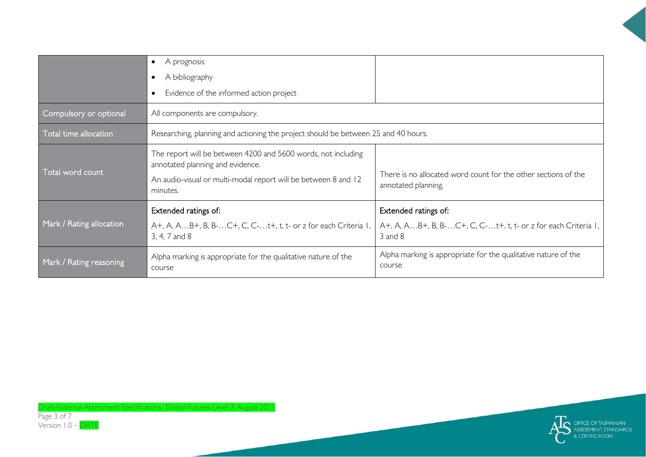|                          | A prognosis<br>$\bullet$<br>A bibliography<br>Evidence of the informed action project                                                                                           |                                                                                                      |
|--------------------------|---------------------------------------------------------------------------------------------------------------------------------------------------------------------------------|------------------------------------------------------------------------------------------------------|
| Compulsory or optional   | All components are compulsory.                                                                                                                                                  |                                                                                                      |
| Total time allocation    | Researching, planning and actioning the project should be between 25 and 40 hours.                                                                                              |                                                                                                      |
| Total word count         | The report will be between 4200 and 5600 words, not including<br>annotated planning and evidence.<br>An audio-visual or multi-modal report will be between 8 and 12<br>minutes. | There is no allocated word count for the other sections of the<br>annotated planning.                |
| Mark / Rating allocation | Extended ratings of:<br>A+, A, AB+, B, B-C+, C, C-t+, t, t- or z for each Criteria 1,<br>3, 4, 7 and 8                                                                          | Extended ratings of:<br>A+, A, AB+, B, B-C+, C, C-t+, t, t- or z for each Criteria 1,<br>$3$ and $8$ |
| Mark / Rating reasoning  | Alpha marking is appropriate for the qualitative nature of the<br>course                                                                                                        | Alpha marking is appropriate for the qualitative nature of the<br>course                             |



Draft-External-Assessment-Specifications- Global-Futures-Level-3-August-2021 Page 3 of 7 Version 1.0 – DATE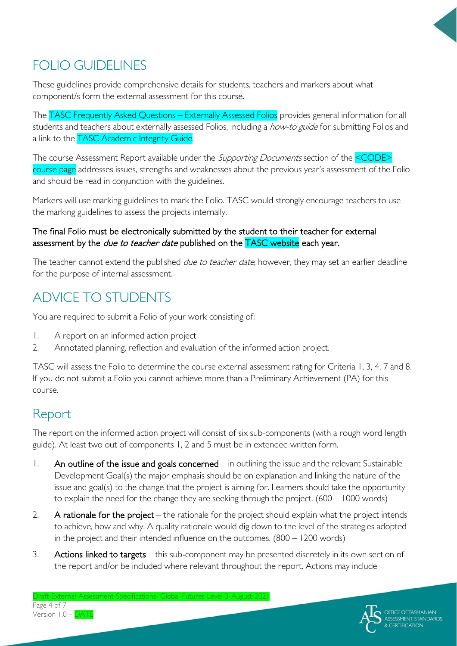

# FOLIO GUIDELINES

These guidelines provide comprehensive details for students, teachers and markers about what component/s form the external assessment for this course.

The TASC Frequently Asked Questions – Externally Assessed Folios provides general information for all students and teachers about externally assessed Folios, including a how-to guide for submitting Folios and a link to the TASC Academic Integrity Guide.

The course Assessment Report available under the *Supporting Documents* section of the **<CODE>** course page addresses issues, strengths and weaknesses about the previous year's assessment of the Folio and should be read in conjunction with the guidelines.

Markers will use marking guidelines to mark the Folio. TASC would strongly encourage teachers to use the marking guidelines to assess the projects internally.

#### The final Folio must be electronically submitted by the student to their teacher for external assessment by the *due to teacher date* published on the **TASC website** each year.

The teacher cannot extend the published *due to teacher date*, however, they may set an earlier deadline for the purpose of internal assessment.

# ADVICE TO STUDENTS

You are required to submit a Folio of your work consisting of:

- 1. A report on an informed action project
- 2. Annotated planning, reflection and evaluation of the informed action project.

TASC will assess the Folio to determine the course external assessment rating for Criteria 1, 3, 4, 7 and 8. If you do not submit a Folio you cannot achieve more than a Preliminary Achievement (PA) for this course.

## Report

The report on the informed action project will consist of six sub-components (with a rough word length guide). At least two out of components 1, 2 and 5 must be in extended written form.

- 1. An outline of the issue and goals concerned in outlining the issue and the relevant Sustainable Development Goal(s) the major emphasis should be on explanation and linking the nature of the issue and goal(s) to the change that the project is aiming for. Learners should take the opportunity to explain the need for the change they are seeking through the project. (600 – 1000 words)
- 2. A rationale for the project the rationale for the project should explain what the project intends to achieve, how and why. A quality rationale would dig down to the level of the strategies adopted in the project and their intended influence on the outcomes. (800 – 1200 words)
- 3. Actions linked to targets this sub-component may be presented discretely in its own section of the report and/or be included where relevant throughout the report. Actions may include

 $G$ lobal-Eutures-Level-3-August-2021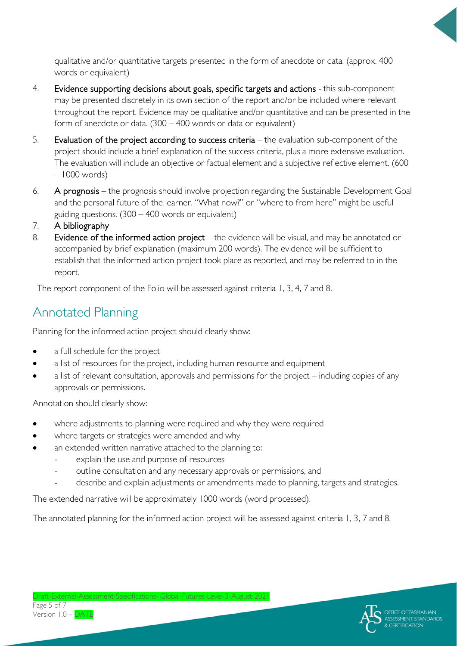qualitative and/or quantitative targets presented in the form of anecdote or data. (approx. 400 words or equivalent)

- 4. Evidence supporting decisions about goals, specific targets and actions this sub-component may be presented discretely in its own section of the report and/or be included where relevant throughout the report. Evidence may be qualitative and/or quantitative and can be presented in the form of anecdote or data. (300 – 400 words or data or equivalent)
- 5. Evaluation of the project according to success criteria the evaluation sub-component of the project should include a brief explanation of the success criteria, plus a more extensive evaluation. The evaluation will include an objective or factual element and a subjective reflective element. (600 – 1000 words)
- 6. A prognosis the prognosis should involve projection regarding the Sustainable Development Goal and the personal future of the learner. "What now?" or "where to from here" might be useful guiding questions.  $(300 - 400$  words or equivalent)
- 7. A bibliography
- 8. Evidence of the informed action project the evidence will be visual, and may be annotated or accompanied by brief explanation (maximum 200 words). The evidence will be sufficient to establish that the informed action project took place as reported, and may be referred to in the report.

The report component of the Folio will be assessed against criteria 1, 3, 4, 7 and 8.

## Annotated Planning

Planning for the informed action project should clearly show:

- a full schedule for the project
- a list of resources for the project, including human resource and equipment
- a list of relevant consultation, approvals and permissions for the project including copies of any approvals or permissions.

Annotation should clearly show:

- where adjustments to planning were required and why they were required
- where targets or strategies were amended and why
- an extended written narrative attached to the planning to:
	- explain the use and purpose of resources
	- outline consultation and any necessary approvals or permissions, and
	- describe and explain adjustments or amendments made to planning, targets and strategies.

The extended narrative will be approximately 1000 words (word processed).

The annotated planning for the informed action project will be assessed against criteria 1, 3, 7 and 8.



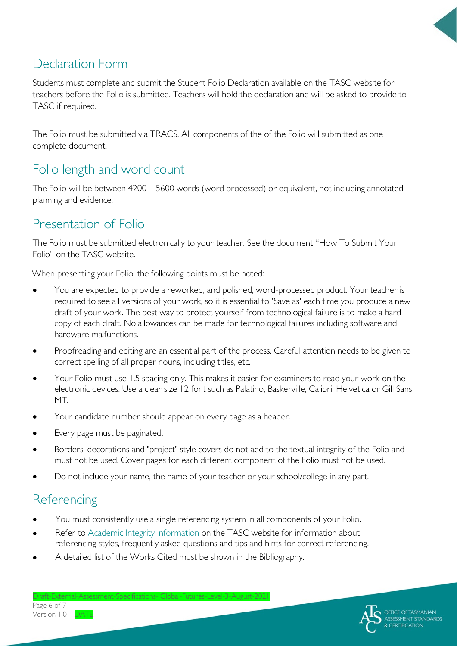

## Declaration Form

Students must complete and submit the Student Folio Declaration available on the TASC website for teachers before the Folio is submitted. Teachers will hold the declaration and will be asked to provide to TASC if required.

The Folio must be submitted via TRACS. All components of the of the Folio will submitted as one complete document.

## Folio length and word count

The Folio will be between 4200 – 5600 words (word processed) or equivalent, not including annotated planning and evidence.

## Presentation of Folio

The Folio must be submitted electronically to your teacher. See the document "How To Submit Your Folio" on the TASC website.

When presenting your Folio, the following points must be noted:

- You are expected to provide a reworked, and polished, word-processed product. Your teacher is required to see all versions of your work, so it is essential to 'Save as' each time you produce a new draft of your work. The best way to protect yourself from technological failure is to make a hard copy of each draft. No allowances can be made for technological failures including software and hardware malfunctions.
- Proofreading and editing are an essential part of the process. Careful attention needs to be given to correct spelling of all proper nouns, including titles, etc.
- Your Folio must use 1.5 spacing only. This makes it easier for examiners to read your work on the electronic devices. Use a clear size 12 font such as Palatino, Baskerville, Calibri, Helvetica or Gill Sans MT.
- Your candidate number should appear on every page as a header.
- Every page must be paginated.
- Borders, decorations and "project" style covers do not add to the textual integrity of the Folio and must not be used. Cover pages for each different component of the Folio must not be used.
- Do not include your name, the name of your teacher or your school/college in any part.

## **Referencing**

- You must consistently use a single referencing system in all components of your Folio.
- Refer to [Academic Integrity information o](https://www.tasc.tas.gov.au/students/academic-integrity/?highlight=academic%20integrity)n the TASC website for information about referencing styles, frequently asked questions and tips and hints for correct referencing.
- A detailed list of the Works Cited must be shown in the Bibliography.